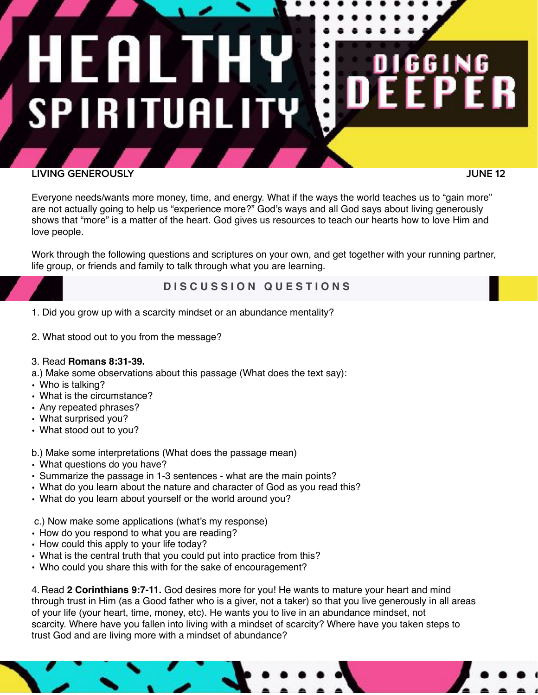## EALT **SPIRITUALITY**

## **LIVING GENEROUSLY**

 **JUNE 12**

61

Everyone needs/wants more money, time, and energy. What if the ways the world teaches us to "gain more" are not actually going to help us "experience more?" God's ways and all God says about living generously shows that "more" is a matter of the heart. God gives us resources to teach our hearts how to love Him and love people.

Work through the following questions and scriptures on your own, and get together with your running partner, life group, or friends and family to talk through what you are learning.

**D I S C U S S I O N Q U E S T I O N S** 

- 1. Did you grow up with a scarcity mindset or an abundance mentality?
- 2. What stood out to you from the message?
- 3. Read **Romans 8:31-39.**
- a.) Make some observations about this passage (What does the text say):
- Who is talking?
- What is the circumstance?
- Any repeated phrases?
- What surprised you?
- What stood out to you?

b.) Make some interpretations (What does the passage mean)

- What questions do you have?
- Summarize the passage in 1-3 sentences what are the main points?
- What do you learn about the nature and character of God as you read this?
- What do you learn about yourself or the world around you?

c.) Now make some applications (what's my response)

- How do you respond to what you are reading?
- How could this apply to your life today?
- What is the central truth that you could put into practice from this?
- Who could you share this with for the sake of encouragement?

4. Read **2 Corinthians 9:7-11.** God desires more for you! He wants to mature your heart and mind through trust in Him (as a Good father who is a giver, not a taker) so that you live generously in all areas of your life (your heart, time, money, etc). He wants you to live in an abundance mindset, not scarcity. Where have you fallen into living with a mindset of scarcity? Where have you taken steps to trust God and are living more with a mindset of abundance?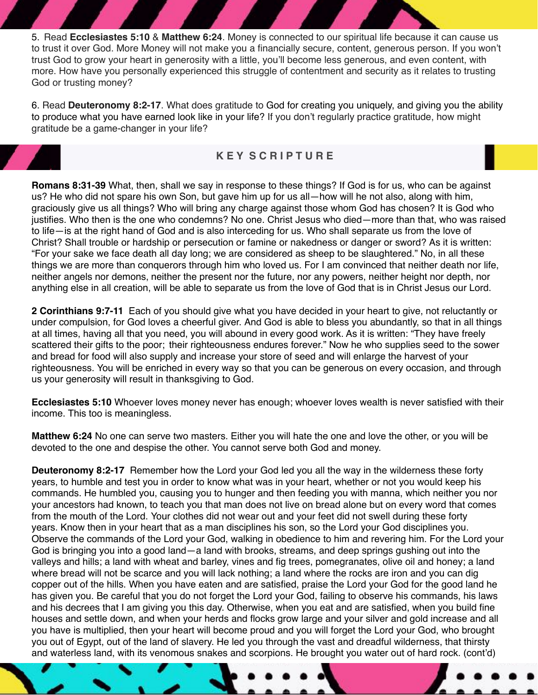5. Read **Ecclesiastes 5:10** & **Matthew 6:24**. Money is connected to our spiritual life because it can cause us to trust it over God. More Money will not make you a financially secure, content, generous person. If you won't trust God to grow your heart in generosity with a little, you'll become less generous, and even content, with more. How have you personally experienced this struggle of contentment and security as it relates to trusting God or trusting money?

6. Read **Deuteronomy 8:2-17**. What does gratitude to God for creating you uniquely, and giving you the ability to produce what you have earned look like in your life? If you don't regularly practice gratitude, how might gratitude be a game-changer in your life?

## **K E Y S C R I P T U R E**

**Romans 8:31-39** What, then, shall we say in response to these things? If God is for us, who can be against us? He who did not spare his own Son, but gave him up for us all—how will he not also, along with him, graciously give us all things? Who will bring any charge against those whom God has chosen? It is God who justifies. Who then is the one who condemns? No one. Christ Jesus who died—more than that, who was raised to life—is at the right hand of God and is also interceding for us. Who shall separate us from the love of Christ? Shall trouble or hardship or persecution or famine or nakedness or danger or sword? As it is written: "For your sake we face death all day long; we are considered as sheep to be slaughtered." No, in all these things we are more than conquerors through him who loved us. For I am convinced that neither death nor life, neither angels nor demons, neither the present nor the future, nor any powers, neither height nor depth, nor anything else in all creation, will be able to separate us from the love of God that is in Christ Jesus our Lord.

**2 Corinthians 9:7-11** Each of you should give what you have decided in your heart to give, not reluctantly or under compulsion, for God loves a cheerful giver. And God is able to bless you abundantly, so that in all things at all times, having all that you need, you will abound in every good work. As it is written: "They have freely scattered their gifts to the poor; their righteousness endures forever." Now he who supplies seed to the sower and bread for food will also supply and increase your store of seed and will enlarge the harvest of your righteousness. You will be enriched in every way so that you can be generous on every occasion, and through us your generosity will result in thanksgiving to God.

**Ecclesiastes 5:10** Whoever loves money never has enough; whoever loves wealth is never satisfied with their income. This too is meaningless.

**Matthew 6:24** No one can serve two masters. Either you will hate the one and love the other, or you will be devoted to the one and despise the other. You cannot serve both God and money.

**Deuteronomy 8:2-17** Remember how the Lord your God led you all the way in the wilderness these forty years, to humble and test you in order to know what was in your heart, whether or not you would keep his commands. He humbled you, causing you to hunger and then feeding you with manna, which neither you nor your ancestors had known, to teach you that man does not live on bread alone but on every word that comes from the mouth of the Lord. Your clothes did not wear out and your feet did not swell during these forty years. Know then in your heart that as a man disciplines his son, so the Lord your God disciplines you. Observe the commands of the Lord your God, walking in obedience to him and revering him. For the Lord your God is bringing you into a good land—a land with brooks, streams, and deep springs gushing out into the valleys and hills; a land with wheat and barley, vines and fig trees, pomegranates, olive oil and honey; a land where bread will not be scarce and you will lack nothing; a land where the rocks are iron and you can dig copper out of the hills. When you have eaten and are satisfied, praise the Lord your God for the good land he has given you. Be careful that you do not forget the Lord your God, failing to observe his commands, his laws and his decrees that I am giving you this day. Otherwise, when you eat and are satisfied, when you build fine houses and settle down, and when your herds and flocks grow large and your silver and gold increase and all you have is multiplied, then your heart will become proud and you will forget the Lord your God, who brought you out of Egypt, out of the land of slavery. He led you through the vast and dreadful wilderness, that thirsty and waterless land, with its venomous snakes and scorpions. He brought you water out of hard rock. (cont'd)